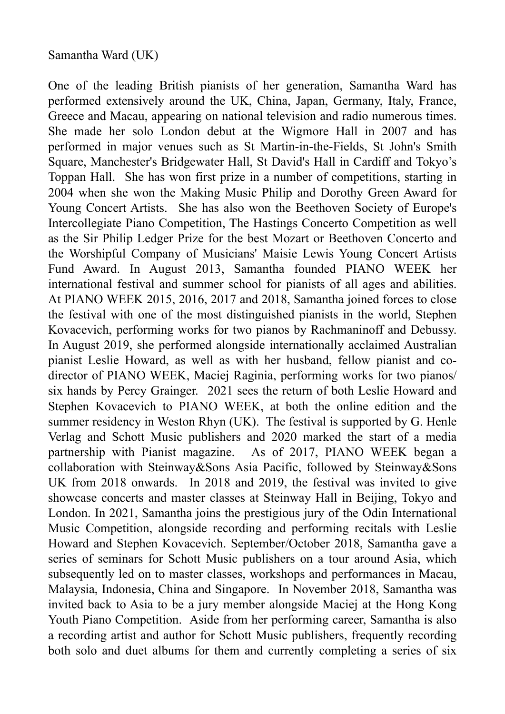## Samantha Ward (UK)

One of the leading British pianists of her generation, Samantha Ward has performed extensively around the UK, China, Japan, Germany, Italy, France, Greece and Macau, appearing on national television and radio numerous times. She made her solo London debut at the Wigmore Hall in 2007 and has performed in major venues such as St Martin-in-the-Fields, St John's Smith Square, Manchester's Bridgewater Hall, St David's Hall in Cardiff and Tokyo's Toppan Hall. She has won first prize in a number of competitions, starting in 2004 when she won the Making Music Philip and Dorothy Green Award for Young Concert Artists. She has also won the Beethoven Society of Europe's Intercollegiate Piano Competition, The Hastings Concerto Competition as well as the Sir Philip Ledger Prize for the best Mozart or Beethoven Concerto and the Worshipful Company of Musicians' Maisie Lewis Young Concert Artists Fund Award. In August 2013, Samantha founded PIANO WEEK her international festival and summer school for pianists of all ages and abilities. At PIANO WEEK 2015, 2016, 2017 and 2018, Samantha joined forces to close the festival with one of the most distinguished pianists in the world, Stephen Kovacevich, performing works for two pianos by Rachmaninoff and Debussy. In August 2019, she performed alongside internationally acclaimed Australian pianist Leslie Howard, as well as with her husband, fellow pianist and codirector of PIANO WEEK, Maciej Raginia, performing works for two pianos/ six hands by Percy Grainger. 2021 sees the return of both Leslie Howard and Stephen Kovacevich to PIANO WEEK, at both the online edition and the summer residency in Weston Rhyn (UK). The festival is supported by G. Henle Verlag and Schott Music publishers and 2020 marked the start of a media partnership with Pianist magazine. As of 2017, PIANO WEEK began a collaboration with Steinway&Sons Asia Pacific, followed by Steinway&Sons UK from 2018 onwards. In 2018 and 2019, the festival was invited to give showcase concerts and master classes at Steinway Hall in Beijing, Tokyo and London. In 2021, Samantha joins the prestigious jury of the Odin International Music Competition, alongside recording and performing recitals with Leslie Howard and Stephen Kovacevich. September/October 2018, Samantha gave a series of seminars for Schott Music publishers on a tour around Asia, which subsequently led on to master classes, workshops and performances in Macau, Malaysia, Indonesia, China and Singapore. In November 2018, Samantha was invited back to Asia to be a jury member alongside Maciej at the Hong Kong Youth Piano Competition. Aside from her performing career, Samantha is also a recording artist and author for Schott Music publishers, frequently recording both solo and duet albums for them and currently completing a series of six